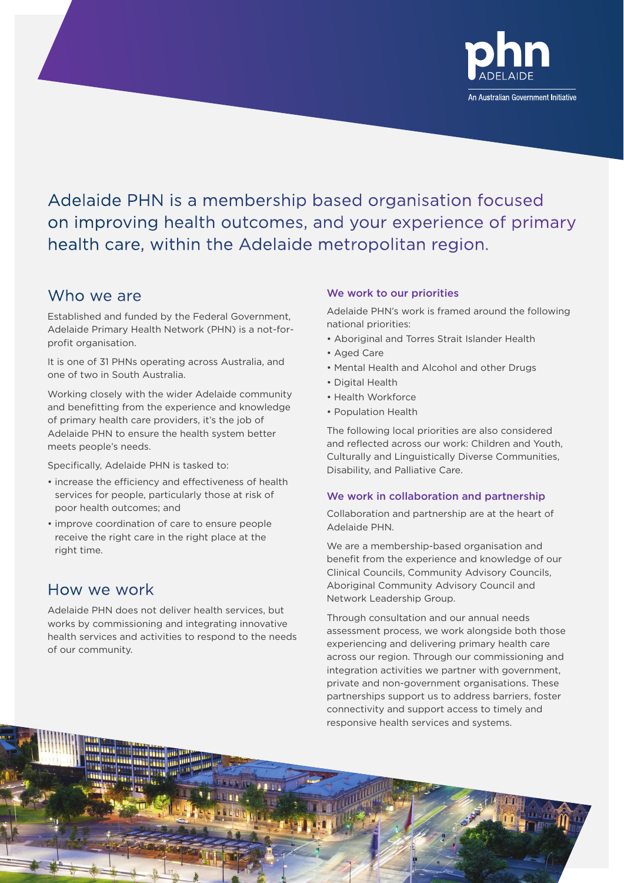

Adelaide PHN is a membership based organisation focused on improving health outcomes, and your experience of primary health care, within the Adelaide metropolitan region.

## Who we are

Established and funded by the Federal Government, Adelaide Primary Health Network (PHN) is a not-forprofit organisation.

It is one of 31 PHNs operating across Australia, and one of two in South Australia.

Working closely with the wider Adelaide community and benefitting from the experience and knowledge of primary health care providers, it's the job of Adelaide PHN to ensure the health system better meets people's needs.

Specifically, Adelaide PHN is tasked to:

alana

- increase the efficiency and effectiveness of health services for people, particularly those at risk of poor health outcomes; and
- improve coordination of care to ensure people receive the right care in the right place at the right time.

### How we work

Adelaide PHN does not deliver health services, but works by commissioning and integrating innovative health services and activities to respond to the needs of our community.

### We work to our priorities

Adelaide PHN's work is framed around the following national priorities:

- Aboriginal and Torres Strait Islander Health
- Aged Care
- Mental Health and Alcohol and other Drugs
- Digital Health
- Health Workforce
- Population Health

The following local priorities are also considered and reflected across our work: Children and Youth, Culturally and Linguistically Diverse Communities, Disability, and Palliative Care.

### We work in collaboration and partnership

Collaboration and partnership are at the heart of Adelaide PHN.

We are a membership-based organisation and benefit from the experience and knowledge of our Clinical Councils, Community Advisory Councils, Aboriginal Community Advisory Council and Network Leadership Group.

Through consultation and our annual needs assessment process, we work alongside both those experiencing and delivering primary health care across our region. Through our commissioning and integration activities we partner with government, private and non-government organisations. These partnerships support us to address barriers, foster connectivity and support access to timely and responsive health services and systems.